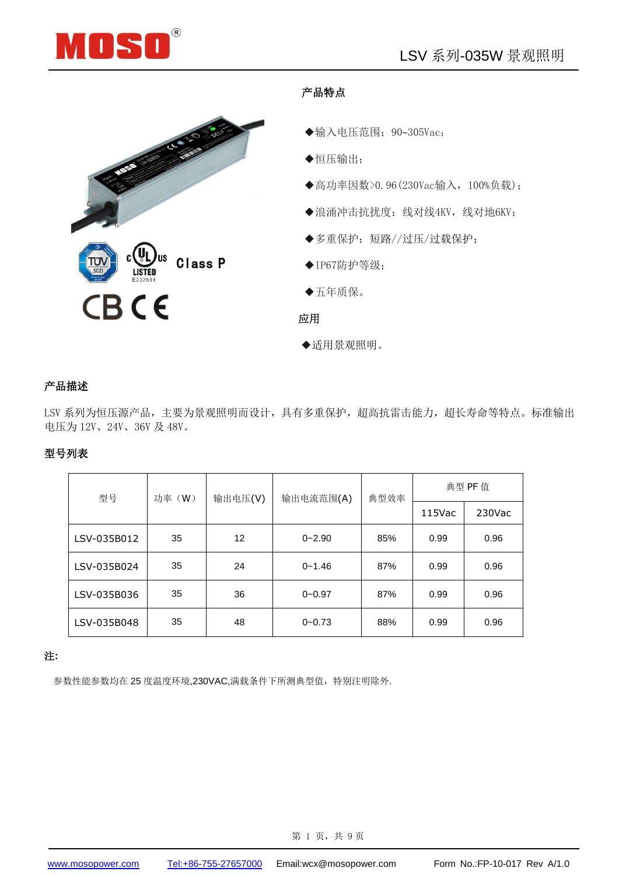



#### 产品特点

- ◆输入电压范围; 90~305Vac;
- ◆恒压输出;
- ◆高功率因数>0.96(230Vac输入, 100%负载);
- ◆浪涌冲击抗扰度:线对线4KV,线对地6KV;
- ◆多重保护:短路//过压/过载保护;
- $\blacklozenge$  IP67防护等级;
- ◆五年质保。
- 应用
- ◆适用景观照明。

#### 产品描述

LSV 系列为恒压源产品, 主要为景观照明而设计, 具有多重保护, 超高抗雷击能力, 超长寿命等特点。标准输出 电压为 12V、24V、36V 及 48V。

#### 型号列表

| 型号          | 功率 (W) | 输出电压(V)           | 输出电流范围(A)  | 典型效率 | 典型 PF 值   |           |
|-------------|--------|-------------------|------------|------|-----------|-----------|
|             |        |                   |            |      | $115$ Vac | $230$ Vac |
| LSV-035B012 | 35     | $12 \overline{ }$ | $0 - 2.90$ | 85%  | 0.99      | 0.96      |
| LSV-035B024 | 35     | 24                | $0 - 1.46$ | 87%  | 0.99      | 0.96      |
| LSV-035B036 | 35     | 36                | $0 - 0.97$ | 87%  | 0.99      | 0.96      |
| LSV-035B048 | 35     | 48                | $0 - 0.73$ | 88%  | 0.99      | 0.96      |

#### 注**:**

参数性能参数均在 25 度温度环境,230VAC,满载条件下所测典型值,特别注明除外.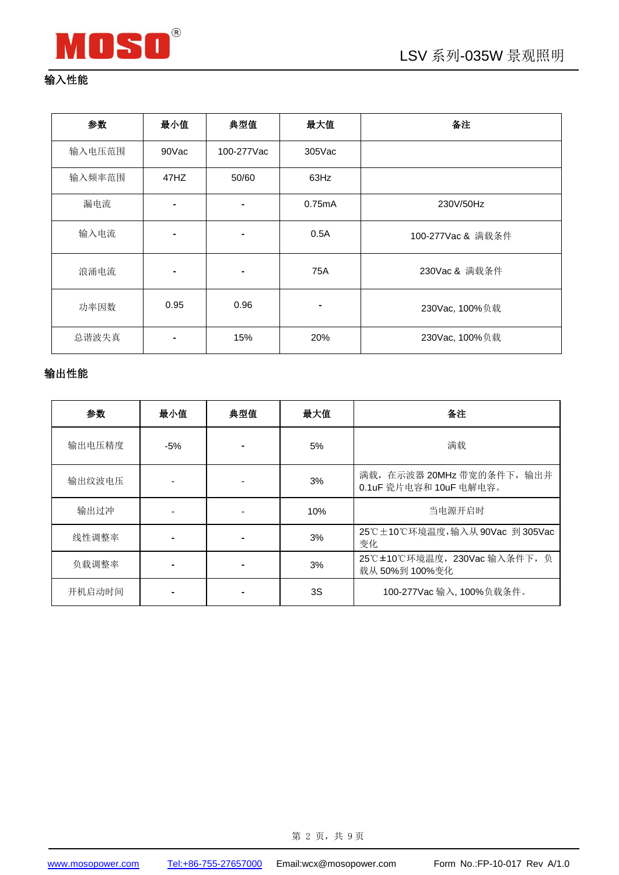

# 输入性能

| 参数     | 最小值            | 典型值            | 最大值       | 备注                |  |
|--------|----------------|----------------|-----------|-------------------|--|
| 输入电压范围 | 90Vac          | 100-277Vac     | $305$ Vac |                   |  |
| 输入频率范围 | 47HZ           | 50/60          | 63Hz      |                   |  |
| 漏电流    | -              |                | 0.75mA    | 230V/50Hz         |  |
| 输入电流   |                |                | 0.5A      | 100-277Vac & 满载条件 |  |
| 浪涌电流   | $\blacksquare$ | $\blacksquare$ | 75A       | 230Vac & 满载条件     |  |
| 功率因数   | 0.95           | 0.96           |           | 230Vac, 100%负载    |  |
| 总谐波失真  |                | 15%            | 20%       | 230Vac, 100%负载    |  |

## 输出性能

| 参数     | 最小值   | 典型值 | 最大值 | 备注                                                   |  |
|--------|-------|-----|-----|------------------------------------------------------|--|
| 输出电压精度 | $-5%$ |     | 5%  | 满载                                                   |  |
| 输出纹波电压 |       |     | 3%  | 满载, 在示波器 20MHz 带宽的条件下, 输出并<br>0.1uF 瓷片电容和 10uF 电解电容。 |  |
| 输出过冲   |       |     | 10% | 当电源开启时                                               |  |
| 线性调整率  |       |     | 3%  | 25℃±10℃环境温度,输入从90Vac 到305Vac<br>变化                   |  |
| 负载调整率  |       |     | 3%  | 25℃±10℃环境温度, 230Vac 输入条件下, 负<br>载从 50%到 100%变化       |  |
| 开机启动时间 |       |     | 3S  | 100-277Vac 输入, 100%负载条件。                             |  |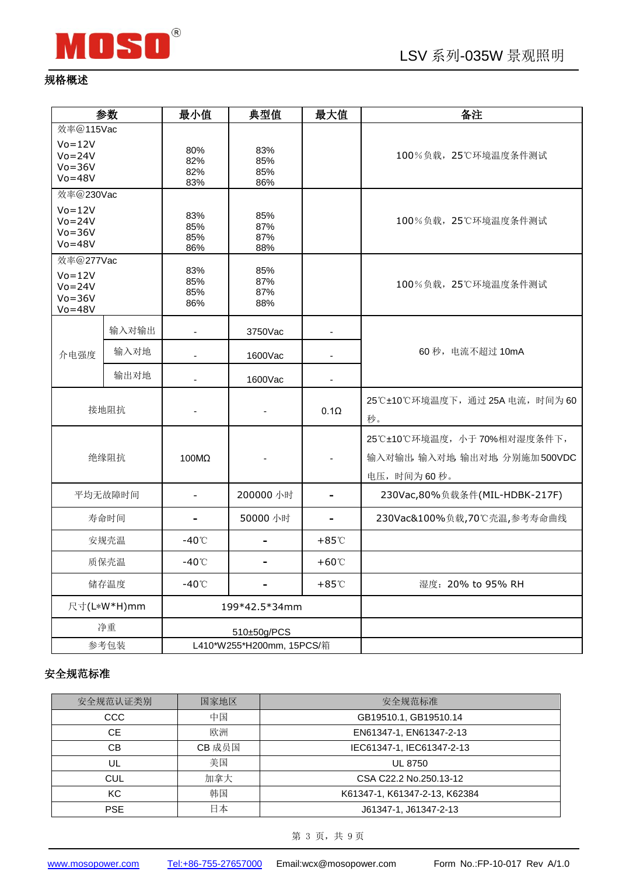

### 规格概述

|                                                                   | 参数      | 最小值                       | 典型值                      | 最大值                          | 备注                                                                      |
|-------------------------------------------------------------------|---------|---------------------------|--------------------------|------------------------------|-------------------------------------------------------------------------|
| 效率@115Vac<br>$Vo = 12V$                                           |         | 80%                       | 83%                      |                              |                                                                         |
| $Vo = 24V$<br>$Vo = 36V$<br>$Vo = 48V$                            |         | 82%<br>82%<br>83%         | 85%<br>85%<br>86%        |                              | 100%负载, 25℃环境温度条件测试                                                     |
| 效率@230Vac                                                         |         |                           |                          |                              |                                                                         |
| $Vo = 12V$<br>$Vo = 24V$<br>$Vo = 36V$<br>$Vo = 48V$              |         | 83%<br>85%<br>85%<br>86%  | 85%<br>87%<br>87%<br>88% |                              | 100%负载, 25℃环境温度条件测试                                                     |
| 效率@277Vac<br>$Vo = 12V$<br>$Vo = 24V$<br>$Vo = 36V$<br>$Vo = 48V$ |         | 83%<br>85%<br>85%<br>86%  | 85%<br>87%<br>87%<br>88% |                              | 100%负载, 25℃环境温度条件测试                                                     |
|                                                                   | 输入对输出   | $\overline{\phantom{a}}$  | 3750Vac                  | $\qquad \qquad \blacksquare$ |                                                                         |
| 介电强度                                                              | 输入对地    |                           | 1600Vac                  |                              | 60 秒, 电流不超过 10mA                                                        |
|                                                                   | 输出对地    |                           | 1600Vac                  |                              |                                                                         |
|                                                                   | 接地阻抗    |                           |                          | $0.1\Omega$                  | 25℃±10℃环境温度下, 通过 25A 电流, 时间为 60<br>秒。                                   |
|                                                                   | 绝缘阻抗    | 100MΩ                     |                          |                              | 25℃±10℃环境温度, 小于70%相对湿度条件下,<br>输入对输出, 输入对地 输出对地 分别施加500VDC<br>电压,时间为60秒。 |
|                                                                   | 平均无故障时间 | $\blacksquare$            | 200000 小时                | $\blacksquare$               | 230Vac,80%负载条件(MIL-HDBK-217F)                                           |
|                                                                   | 寿命时间    | ۰                         | 50000 小时                 | -                            | 230Vac&100%负载,70℃壳温,参考寿命曲线                                              |
|                                                                   | 安规壳温    | $-40^{\circ}$ C           |                          | $+85^{\circ}$ C              |                                                                         |
|                                                                   | 质保壳温    | $-40^{\circ}$ C           |                          | $+60^{\circ}$                |                                                                         |
| 储存温度                                                              |         | $-40^{\circ}$ C           |                          | $+85^{\circ}$ C              | 湿度: 20% to 95% RH                                                       |
| 尺寸(L*W*H)mm                                                       |         | 199*42.5*34mm             |                          |                              |                                                                         |
| 净重                                                                |         |                           | 510±50g/PCS              |                              |                                                                         |
| 参考包装                                                              |         | L410*W255*H200mm, 15PCS/箱 |                          |                              |                                                                         |

## 安全规范标准

| 安全规范认证类别         | 国家地区   | 安全规范标准                        |  |
|------------------|--------|-------------------------------|--|
| 中国<br><b>CCC</b> |        | GB19510.1, GB19510.14         |  |
| CE.              | 欧洲     | EN61347-1, EN61347-2-13       |  |
| CВ               | CB 成员国 | IEC61347-1, IEC61347-2-13     |  |
| UL               | 美国     | <b>UL 8750</b>                |  |
| <b>CUL</b>       | 加拿大    | CSA C22.2 No.250.13-12        |  |
| <b>KC</b>        | 韩国     | K61347-1, K61347-2-13, K62384 |  |
| <b>PSE</b>       | 日本     | J61347-1, J61347-2-13         |  |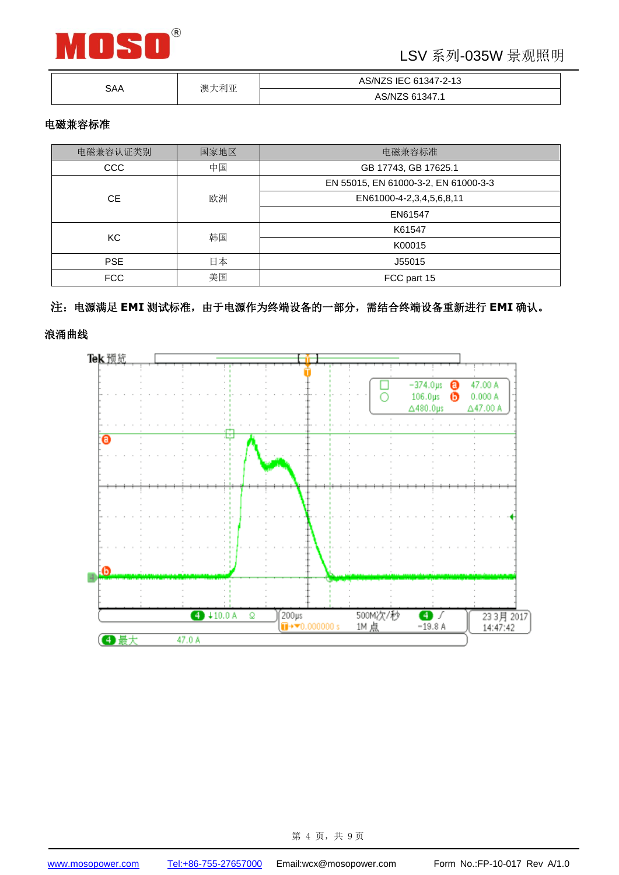

# LSV 系列-035W 景观照明

| SAA | 大利亚<br>澳 | AS/NZS IEC 61347-2-13 |  |
|-----|----------|-----------------------|--|
|     |          | 61347.1<br>AS/NZS     |  |

#### 电磁兼容标准

| 电磁兼容认证类别   | 国家地区 | 电磁兼容标准                               |  |  |
|------------|------|--------------------------------------|--|--|
| CCC        | 中国   | GB 17743, GB 17625.1                 |  |  |
|            |      | EN 55015, EN 61000-3-2, EN 61000-3-3 |  |  |
| <b>CE</b>  | 欧洲   | EN61000-4-2,3,4,5,6,8,11             |  |  |
|            |      | EN61547                              |  |  |
|            | 韩国   | K61547                               |  |  |
| KC.        |      | K00015                               |  |  |
| <b>PSE</b> | 日本   | J55015                               |  |  |
| <b>FCC</b> | 美国   | FCC part 15                          |  |  |

#### 注:电源满足 **EMI** 测试标准,由于电源作为终端设备的一部分,需结合终端设备重新进行 **EMI** 确认。

浪涌曲线

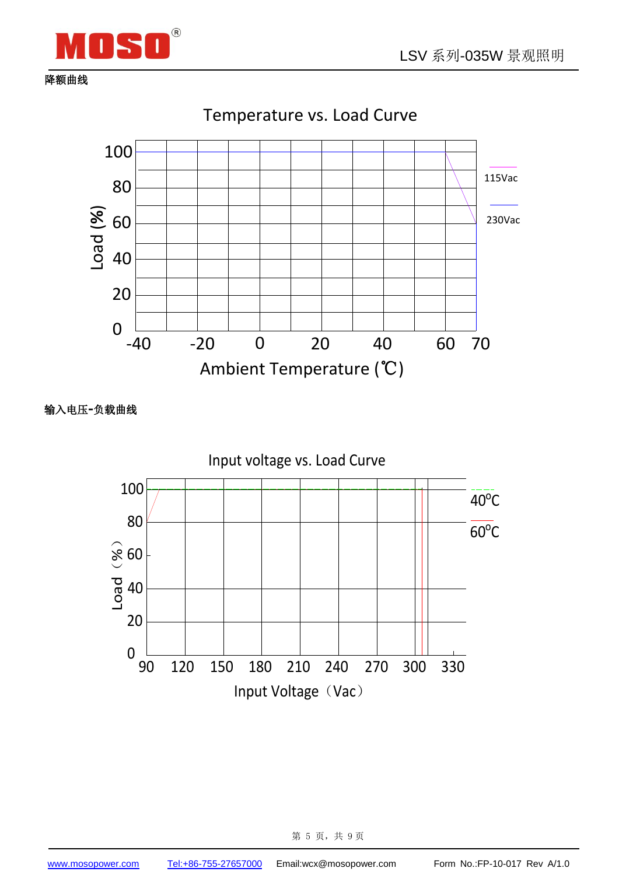

降额曲线

100 80 60  $\frac{6}{6}$  60<br> $\frac{1}{6}$  40 20 115Vac 230Vac Temperature vs. Load Curve

-40 -20 20 40 60 70 0 Ambient Temperature (℃)

输入电压**-**负载曲线

0

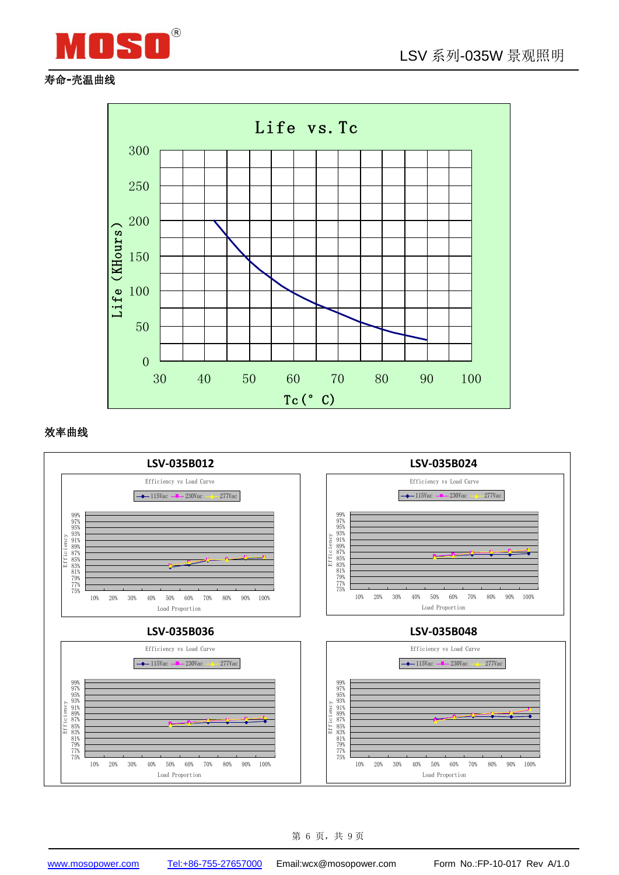

### 寿命**-**壳温曲线



#### 效率曲线



第 6 页,共 9页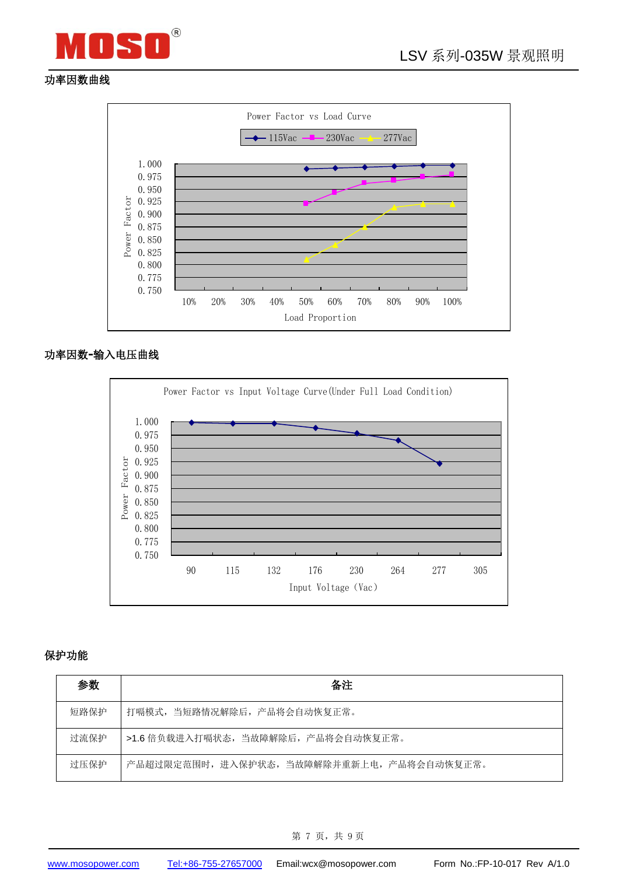



### 功率因数曲线



#### 功率因数**-**输入电压曲线



#### 保护功能

| 参数   | 备注                                      |
|------|-----------------------------------------|
| 短路保护 | 打嗝模式, 当短路情况解除后, 产品将会自动恢复正常。             |
| 过流保护 | >1.6 倍负载进入打嗝状态,当故障解除后,产品将会自动恢复正常。       |
| 讨压保护 | 产品超过限定范围时,进入保护状态,当故障解除并重新上电,产品将会自动恢复正常。 |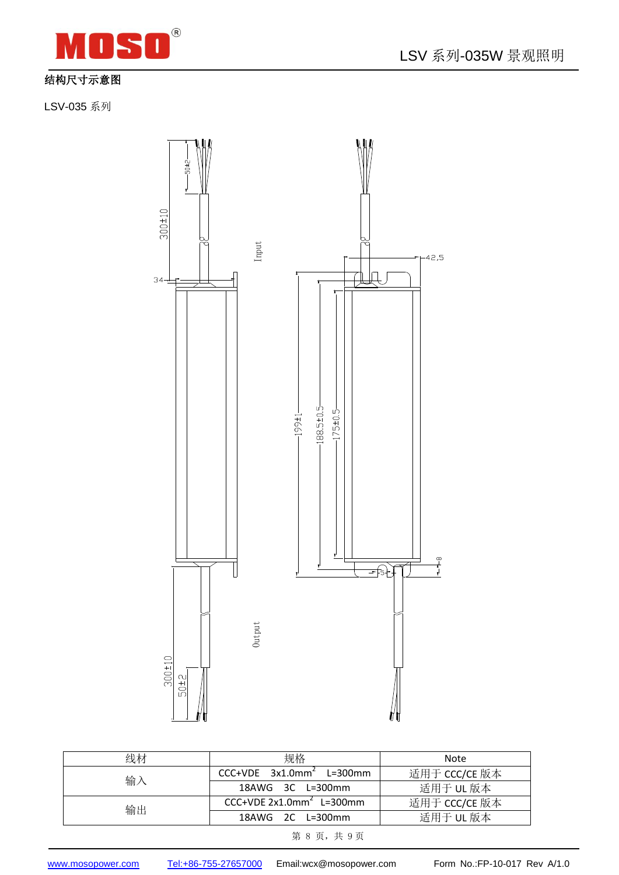

## 结构尺寸示意图

LSV-035 系列



| 线材 | 规格                                     | Note          |  |
|----|----------------------------------------|---------------|--|
| 输入 | $CCC+VDE$ 3x1.0mm <sup>2</sup> L=300mm | 适用于 CCC/CE 版本 |  |
|    | 18AWG 3C L=300mm                       | 适用于 UL 版本     |  |
| 输出 | $CC+VDE 2x1.0mm2$ L=300mm              | 适用于 CCC/CE 版本 |  |
|    | $18AWG$ $2C$ $L=300mm$                 | 适用于 UL 版本     |  |